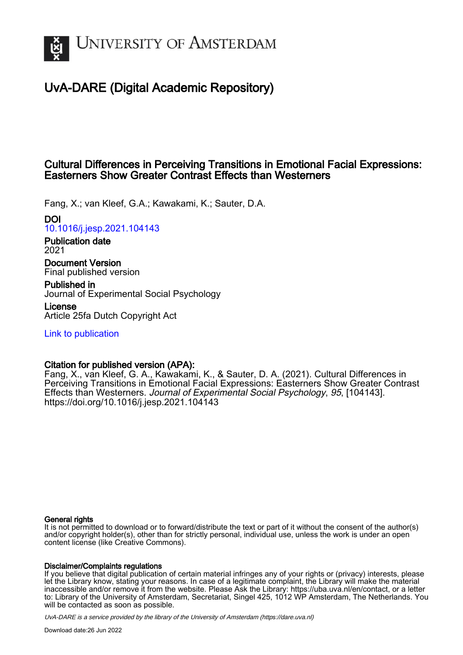

# UvA-DARE (Digital Academic Repository)

# Cultural Differences in Perceiving Transitions in Emotional Facial Expressions: Easterners Show Greater Contrast Effects than Westerners

Fang, X.; van Kleef, G.A.; Kawakami, K.; Sauter, D.A.

DOI

[10.1016/j.jesp.2021.104143](https://doi.org/10.1016/j.jesp.2021.104143)

Publication date 2021

Document Version Final published version

Published in Journal of Experimental Social Psychology

License Article 25fa Dutch Copyright Act

[Link to publication](https://dare.uva.nl/personal/pure/en/publications/cultural-differences-in-perceiving-transitions-in-emotional-facial-expressions-easterners-show-greater-contrast-effects-than-westerners(a04858d3-c050-4eb4-9440-864169829af4).html)

# Citation for published version (APA):

Fang, X., van Kleef, G. A., Kawakami, K., & Sauter, D. A. (2021). Cultural Differences in Perceiving Transitions in Emotional Facial Expressions: Easterners Show Greater Contrast Effects than Westerners. Journal of Experimental Social Psychology, 95, [104143]. <https://doi.org/10.1016/j.jesp.2021.104143>

## General rights

It is not permitted to download or to forward/distribute the text or part of it without the consent of the author(s) and/or copyright holder(s), other than for strictly personal, individual use, unless the work is under an open content license (like Creative Commons).

## Disclaimer/Complaints regulations

If you believe that digital publication of certain material infringes any of your rights or (privacy) interests, please let the Library know, stating your reasons. In case of a legitimate complaint, the Library will make the material inaccessible and/or remove it from the website. Please Ask the Library: https://uba.uva.nl/en/contact, or a letter to: Library of the University of Amsterdam, Secretariat, Singel 425, 1012 WP Amsterdam, The Netherlands. You will be contacted as soon as possible.

UvA-DARE is a service provided by the library of the University of Amsterdam (http*s*://dare.uva.nl)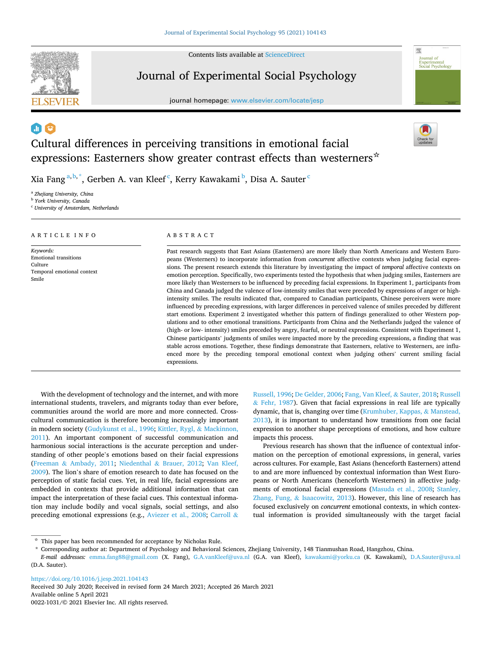Contents lists available at ScienceDirect



# Journal of Experimental Social Psychology

journal homepage: www.elsevier.com/locate/jesp



# Cultural differences in perceiving transitions in emotional facial expressions: Easterners show greater contrast effects than westerners  $\dot{\alpha}$

Xia Fang $^{\mathrm{a,b,*}},$  Gerben A. van Kleef $^{\mathrm{c}}$ , Kerry Kawakami $^{\mathrm{b}}$ , Disa A. Sauter $^{\mathrm{c}}$ 

<sup>a</sup> *Zhejiang University, China* 

ARTICLE INFO

Temporal emotional context

*Keywords:*  Emotional transitions

Culture

Smile

<sup>b</sup> *York University, Canada* 

<sup>c</sup> *University of Amsterdam, Netherlands* 

### ABSTRACT

Past research suggests that East Asians (Easterners) are more likely than North Americans and Western Europeans (Westerners) to incorporate information from *concurrent* affective contexts when judging facial expressions. The present research extends this literature by investigating the impact of *temporal* affective contexts on emotion perception. Specifically, two experiments tested the hypothesis that when judging smiles, Easterners are more likely than Westerners to be influenced by preceding facial expressions. In Experiment 1, participants from China and Canada judged the valence of low-intensity smiles that were preceded by expressions of anger or highintensity smiles. The results indicated that, compared to Canadian participants, Chinese perceivers were more influenced by preceding expressions, with larger differences in perceived valence of smiles preceded by different start emotions. Experiment 2 investigated whether this pattern of findings generalized to other Western populations and to other emotional transitions. Participants from China and the Netherlands judged the valence of (high- or low- intensity) smiles preceded by angry, fearful, or neutral expressions. Consistent with Experiment 1, Chinese participants' judgments of smiles were impacted more by the preceding expressions, a finding that was stable across emotions. Together, these findings demonstrate that Easterners, relative to Westerners, are influenced more by the preceding temporal emotional context when judging others' current smiling facial expressions.

With the development of technology and the internet, and with more international students, travelers, and migrants today than ever before, communities around the world are more and more connected. Crosscultural communication is therefore becoming increasingly important in modern society (Gudykunst et al., 1996; Kittler, Rygl, & Mackinnon, 2011). An important component of successful communication and harmonious social interactions is the accurate perception and understanding of other people's emotions based on their facial expressions (Freeman & Ambady, 2011; Niedenthal & Brauer, 2012; Van Kleef, 2009). The lion's share of emotion research to date has focused on the perception of static facial cues. Yet, in real life, facial expressions are embedded in contexts that provide additional information that can impact the interpretation of these facial cues. This contextual information may include bodily and vocal signals, social settings, and also preceding emotional expressions (e.g., Aviezer et al., 2008; Carroll &

Russell, 1996; De Gelder, 2006; Fang, Van Kleef, & Sauter, 2018; Russell  $&$  Fehr, 1987). Given that facial expressions in real life are typically dynamic, that is, changing over time (Krumhuber, Kappas, & Manstead, 2013), it is important to understand how transitions from one facial expression to another shape perceptions of emotions, and how culture impacts this process.

Previous research has shown that the influence of contextual information on the perception of emotional expressions, in general, varies across cultures. For example, East Asians (henceforth Easterners) attend to and are more influenced by contextual information than West Europeans or North Americans (henceforth Westerners) in affective judgments of emotional facial expressions (Masuda et al., 2008; Stanley, Zhang, Fung, & Isaacowitz, 2013). However, this line of research has focused exclusively on *concurrent* emotional contexts, in which contextual information is provided simultaneously with the target facial

https://doi.org/10.1016/j.jesp.2021.104143

Available online 5 April 2021 0022-1031/© 2021 Elsevier Inc. All rights reserved. Received 30 July 2020; Received in revised form 24 March 2021; Accepted 26 March 2021

 $\dot{\rm \star}$  This paper has been recommended for acceptance by Nicholas Rule.

<sup>\*</sup> Corresponding author at: Department of Psychology and Behavioral Sciences, Zhejiang University, 148 Tianmushan Road, Hangzhou, China.

*E-mail addresses:* emma.fang88@gmail.com (X. Fang), G.A.vanKleef@uva.nl (G.A. van Kleef), kawakami@yorku.ca (K. Kawakami), D.A.Sauter@uva.nl (D.A. Sauter).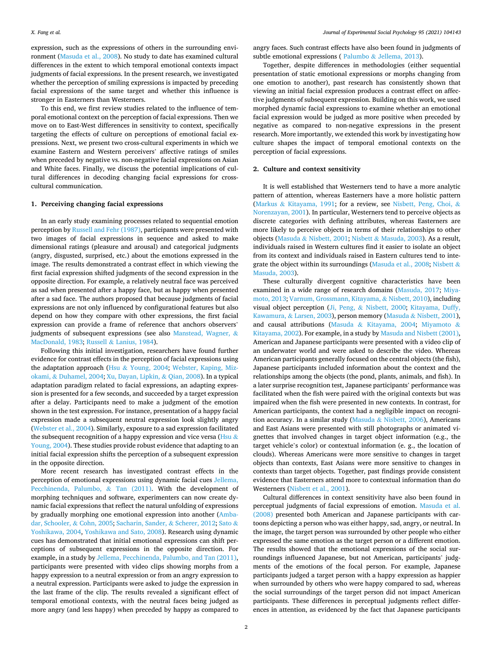expression, such as the expressions of others in the surrounding environment (Masuda et al., 2008). No study to date has examined cultural differences in the extent to which temporal emotional contexts impact judgments of facial expressions. In the present research, we investigated whether the perception of smiling expressions is impacted by preceding facial expressions of the same target and whether this influence is stronger in Easterners than Westerners.

To this end, we first review studies related to the influence of temporal emotional context on the perception of facial expressions. Then we move on to East-West differences in sensitivity to context, specifically targeting the effects of culture on perceptions of emotional facial expressions. Next, we present two cross-cultural experiments in which we examine Eastern and Western perceivers' affective ratings of smiles when preceded by negative vs. non-negative facial expressions on Asian and White faces. Finally, we discuss the potential implications of cultural differences in decoding changing facial expressions for crosscultural communication.

### **1. Perceiving changing facial expressions**

In an early study examining processes related to sequential emotion perception by Russell and Fehr (1987), participants were presented with two images of facial expressions in sequence and asked to make dimensional ratings (pleasure and arousal) and categorical judgments (angry, disgusted, surprised, etc.) about the emotions expressed in the image. The results demonstrated a contrast effect in which viewing the first facial expression shifted judgments of the second expression in the opposite direction. For example, a relatively neutral face was perceived as sad when presented after a happy face, but as happy when presented after a sad face. The authors proposed that because judgments of facial expressions are not only influenced by configurational features but also depend on how they compare with other expressions, the first facial expression can provide a frame of reference that anchors observers' judgments of subsequent expressions (see also Manstead, Wagner, & MacDonald, 1983; Russell & Lanius, 1984).

Following this initial investigation, researchers have found further evidence for contrast effects in the perception of facial expressions using the adaptation approach (Hsu & Young, 2004; Webster, Kaping, Mizokami, & Duhamel, 2004; Xu, Dayan, Lipkin, & Qian, 2008). In a typical adaptation paradigm related to facial expressions, an adapting expression is presented for a few seconds, and succeeded by a target expression after a delay. Participants need to make a judgment of the emotion shown in the test expression. For instance, presentation of a happy facial expression made a subsequent neutral expression look slightly angry (Webster et al., 2004). Similarly, exposure to a sad expression facilitated the subsequent recognition of a happy expression and vice versa (Hsu  $\&$ Young, 2004). These studies provide robust evidence that adapting to an initial facial expression shifts the perception of a subsequent expression in the opposite direction.

More recent research has investigated contrast effects in the perception of emotional expressions using dynamic facial cues Jellema, Pecchinenda, Palumbo, & Tan (2011). With the development of morphing techniques and software, experimenters can now create dynamic facial expressions that reflect the natural unfolding of expressions by gradually morphing one emotional expression into another (Ambadar, Schooler, & Cohn, 2005; Sacharin, Sander, & Scherer, 2012; Sato & Yoshikawa, 2004, Yoshikawa and Sato, 2008). Research using dynamic cues has demonstrated that initial emotional expressions can shift perceptions of subsequent expressions in the opposite direction. For example, in a study by Jellema, Pecchinenda, Palumbo, and Tan (2011), participants were presented with video clips showing morphs from a happy expression to a neutral expression or from an angry expression to a neutral expression. Participants were asked to judge the expression in the last frame of the clip. The results revealed a significant effect of temporal emotional contexts, with the neutral faces being judged as more angry (and less happy) when preceded by happy as compared to

angry faces. Such contrast effects have also been found in judgments of subtle emotional expressions ( Palumbo & Jellema, 2013).

Together, despite differences in methodologies (either sequential presentation of static emotional expressions or morphs changing from one emotion to another), past research has consistently shown that viewing an initial facial expression produces a contrast effect on affective judgments of subsequent expression. Building on this work, we used morphed dynamic facial expressions to examine whether an emotional facial expression would be judged as more positive when preceded by negative as compared to non-negative expressions in the present research. More importantly, we extended this work by investigating how culture shapes the impact of temporal emotional contexts on the perception of facial expressions.

#### **2. Culture and context sensitivity**

It is well established that Westerners tend to have a more analytic pattern of attention, whereas Easterners have a more holistic pattern (Markus & Kitayama, 1991; for a review, see Nisbett, Peng, Choi, & Norenzayan, 2001). In particular, Westerners tend to perceive objects as discrete categories with defining attributes, whereas Easterners are more likely to perceive objects in terms of their relationships to other objects (Masuda & Nisbett, 2001; Nisbett & Masuda, 2003). As a result, individuals raised in Western cultures find it easier to isolate an object from its context and individuals raised in Eastern cultures tend to integrate the object within its surroundings (Masuda et al., 2008; Nisbett & Masuda, 2003).

These culturally divergent cognitive characteristics have been examined in a wide range of research domains (Masuda, 2017; Miyamoto, 2013; Varnum, Grossmann, Kitayama, & Nisbett, 2010), including visual object perception (Ji, Peng, & Nisbett, 2000; Kitayama, Duffy, Kawamura, & Larsen, 2003), person memory (Masuda & Nisbett, 2001), and causal attributions (Masuda & Kitayama, 2004; Miyamoto & Kitayama, 2002). For example, in a study by Masuda and Nisbett (2001), American and Japanese participants were presented with a video clip of an underwater world and were asked to describe the video. Whereas American participants generally focused on the central objects (the fish), Japanese participants included information about the context and the relationships among the objects (the pond, plants, animals, and fish). In a later surprise recognition test, Japanese participants' performance was facilitated when the fish were paired with the original contexts but was impaired when the fish were presented in new contexts. In contrast, for American participants, the context had a negligible impact on recognition accuracy. In a similar study (Masuda & Nisbett, 2006), Americans and East Asians were presented with still photographs or animated vignettes that involved changes in target object information (e.g., the target vehicle's color) or contextual information (e. g., the location of clouds). Whereas Americans were more sensitive to changes in target objects than contexts, East Asians were more sensitive to changes in contexts than target objects. Together, past findings provide consistent evidence that Easterners attend more to contextual information than do Westerners (Nisbett et al., 2001).

Cultural differences in context sensitivity have also been found in perceptual judgments of facial expressions of emotion. Masuda et al. (2008) presented both American and Japanese participants with cartoons depicting a person who was either happy, sad, angry, or neutral. In the image, the target person was surrounded by other people who either expressed the same emotion as the target person or a different emotion. The results showed that the emotional expressions of the social surroundings influenced Japanese, but not American, participants' judgments of the emotions of the focal person. For example, Japanese participants judged a target person with a happy expression as happier when surrounded by others who were happy compared to sad, whereas the social surroundings of the target person did not impact American participants. These differences in perceptual judgments reflect differences in attention, as evidenced by the fact that Japanese participants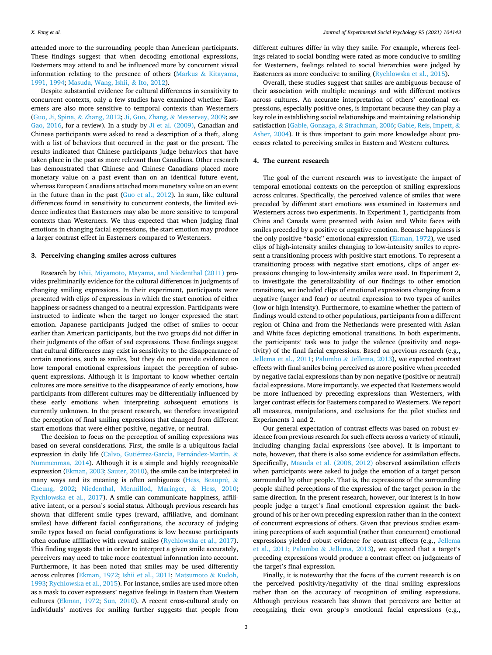attended more to the surrounding people than American participants. These findings suggest that when decoding emotional expressions, Easterners may attend to and be influenced more by concurrent visual information relating to the presence of others (Markus & Kitayama, 1991, 1994; Masuda, Wang, Ishii, & Ito, 2012).

Despite substantial evidence for cultural differences in sensitivity to concurrent contexts, only a few studies have examined whether Easterners are also more sensitive to temporal contexts than Westerners (Guo, Ji, Spina, & Zhang, 2012; Ji, Guo, Zhang, & Messervey, 2009; see Gao, 2016, for a review). In a study by Ji et al. (2009), Canadian and Chinese participants were asked to read a description of a theft, along with a list of behaviors that occurred in the past or the present. The results indicated that Chinese participants judge behaviors that have taken place in the past as more relevant than Canadians. Other research has demonstrated that Chinese and Chinese Canadians placed more monetary value on a past event than on an identical future event, whereas European Canadians attached more monetary value on an event in the future than in the past (Guo et al., 2012). In sum, like cultural differences found in sensitivity to concurrent contexts, the limited evidence indicates that Easterners may also be more sensitive to temporal contexts than Westerners. We thus expected that when judging final emotions in changing facial expressions, the start emotion may produce a larger contrast effect in Easterners compared to Westerners.

#### **3. Perceiving changing smiles across cultures**

Research by Ishii, Miyamoto, Mayama, and Niedenthal (2011) provides preliminarily evidence for the cultural differences in judgments of changing smiling expressions. In their experiment, participants were presented with clips of expressions in which the start emotion of either happiness or sadness changed to a neutral expression. Participants were instructed to indicate when the target no longer expressed the start emotion. Japanese participants judged the offset of smiles to occur earlier than American participants, but the two groups did not differ in their judgments of the offset of sad expressions. These findings suggest that cultural differences may exist in sensitivity to the disappearance of certain emotions, such as smiles, but they do not provide evidence on how temporal emotional expressions impact the perception of subsequent expressions. Although it is important to know whether certain cultures are more sensitive to the disappearance of early emotions, how participants from different cultures may be differentially influenced by these early emotions when interpreting subsequent emotions is currently unknown. In the present research, we therefore investigated the perception of final smiling expressions that changed from different start emotions that were either positive, negative, or neutral.

The decision to focus on the perception of smiling expressions was based on several considerations. First, the smile is a ubiquitous facial expression in daily life (Calvo, Gutiérrez-García, Fernández-Martín, & Nummenmaa, 2014). Although it is a simple and highly recognizable expression (Ekman, 2003; Sauter, 2010), the smile can be interpreted in many ways and its meaning is often ambiguous (Hess, Beaupré,  $\&$ Cheung, 2002; Niedenthal, Mermillod, Maringer, & Hess, 2010; Rychlowska et al., 2017). A smile can communicate happiness, affiliative intent, or a person's social status. Although previous research has shown that different smile types (reward, affiliative, and dominant smiles) have different facial configurations, the accuracy of judging smile types based on facial configurations is low because participants often confuse affiliative with reward smiles (Rychlowska et al., 2017). This finding suggests that in order to interpret a given smile accurately, perceivers may need to take more contextual information into account. Furthermore, it has been noted that smiles may be used differently across cultures (Ekman, 1972; Ishii et al., 2011; Matsumoto & Kudoh, 1993; Rychlowska et al., 2015). For instance, smiles are used more often as a mask to cover expressers' negative feelings in Eastern than Western cultures (Ekman, 1972; Sun, 2010). A recent cross-cultural study on individuals' motives for smiling further suggests that people from

different cultures differ in why they smile. For example, whereas feelings related to social bonding were rated as more conducive to smiling for Westerners, feelings related to social hierarchies were judged by Easterners as more conducive to smiling (Rychlowska et al., 2015).

Overall, these studies suggest that smiles are ambiguous because of their association with multiple meanings and with different motives across cultures. An accurate interpretation of others' emotional expressions, especially positive ones, is important because they can play a key role in establishing social relationships and maintaining relationship satisfaction (Gable, Gonzaga, & Strachman, 2006; Gable, Reis, Impett, & Asher, 2004). It is thus important to gain more knowledge about processes related to perceiving smiles in Eastern and Western cultures.

#### **4. The current research**

The goal of the current research was to investigate the impact of temporal emotional contexts on the perception of smiling expressions across cultures. Specifically, the perceived valence of smiles that were preceded by different start emotions was examined in Easterners and Westerners across two experiments. In Experiment 1, participants from China and Canada were presented with Asian and White faces with smiles preceded by a positive or negative emotion. Because happiness is the only positive "basic" emotional expression (Ekman, 1972), we used clips of high-intensity smiles changing to low-intensity smiles to represent a transitioning process with positive start emotions. To represent a transitioning process with negative start emotions, clips of anger expressions changing to low-intensity smiles were used. In Experiment 2, to investigate the generalizability of our findings to other emotion transitions, we included clips of emotional expressions changing from a negative (anger and fear) or neutral expression to two types of smiles (low or high intensity). Furthermore, to examine whether the pattern of findings would extend to other populations, participants from a different region of China and from the Netherlands were presented with Asian and White faces depicting emotional transitions. In both experiments, the participants' task was to judge the valence (positivity and negativity) of the final facial expressions. Based on previous research (e.g., Jellema et al., 2011; Palumbo & Jellema, 2013), we expected contrast effects with final smiles being perceived as more positive when preceded by negative facial expressions than by non-negative (positive or neutral) facial expressions. More importantly, we expected that Easterners would be more influenced by preceding expressions than Westerners, with larger contrast effects for Easterners compared to Westerners. We report all measures, manipulations, and exclusions for the pilot studies and Experiments 1 and 2.

Our general expectation of contrast effects was based on robust evidence from previous research for such effects across a variety of stimuli, including changing facial expressions (see above). It is important to note, however, that there is also some evidence for assimilation effects. Specifically, Masuda et al. (2008, 2012) observed assimilation effects when participants were asked to judge the emotion of a target person surrounded by other people. That is, the expressions of the surrounding people shifted perceptions of the expression of the target person in the same direction. In the present research, however, our interest is in how people judge a target's final emotional expression against the background of his or her own preceding expression rather than in the context of concurrent expressions of others. Given that previous studies examining perceptions of such sequential (rather than concurrent) emotional expressions yielded robust evidence for contrast effects (e.g., Jellema et al., 2011; Palumbo & Jellema, 2013), we expected that a target's preceding expressions would produce a contrast effect on judgments of the target's final expression.

Finally, it is noteworthy that the focus of the current research is on the perceived positivity/negativity of the final smiling expressions rather than on the accuracy of recognition of smiling expressions. Although previous research has shown that perceivers are better at recognizing their own group's emotional facial expressions (e.g.,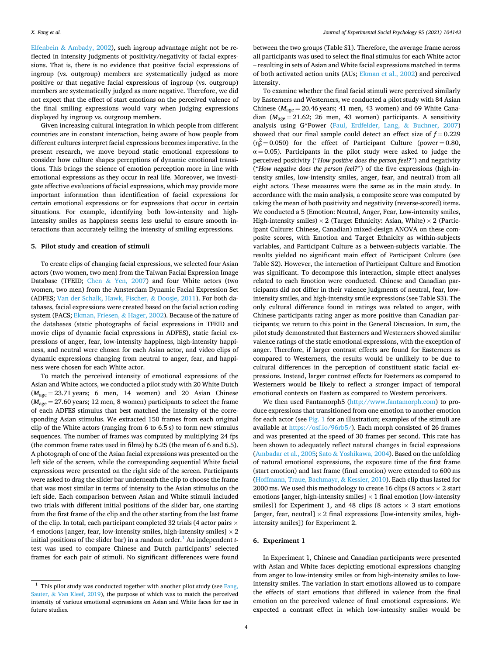Elfenbein & Ambady, 2002), such ingroup advantage might not be reflected in intensity judgments of positivity/negativity of facial expressions. That is, there is no evidence that positive facial expressions of ingroup (vs. outgroup) members are systematically judged as more positive or that negative facial expressions of ingroup (vs. outgroup) members are systematically judged as more negative. Therefore, we did not expect that the effect of start emotions on the perceived valence of the final smiling expressions would vary when judging expressions displayed by ingroup vs. outgroup members.

Given increasing cultural integration in which people from different countries are in constant interaction, being aware of how people from different cultures interpret facial expressions becomes imperative. In the present research, we move beyond static emotional expressions to consider how culture shapes perceptions of dynamic emotional transitions. This brings the science of emotion perception more in line with emotional expressions as they occur in real life. Moreover, we investigate affective evaluations of facial expressions, which may provide more important information than identification of facial expressions for certain emotional expressions or for expressions that occur in certain situations. For example, identifying both low-intensity and highintensity smiles as happiness seems less useful to ensure smooth interactions than accurately telling the intensity of smiling expressions.

### **5. Pilot study and creation of stimuli**

To create clips of changing facial expressions, we selected four Asian actors (two women, two men) from the Taiwan Facial Expression Image Database (TFEID; Chen & Yen, 2007) and four White actors (two women, two men) from the Amsterdam Dynamic Facial Expression Set (ADFES; Van der Schalk, Hawk, Fischer, & Doosje, 2011). For both databases, facial expressions were created based on the facial action coding system (FACS; Ekman, Friesen, & Hager, 2002). Because of the nature of the databases (static photographs of facial expressions in TFEID and movie clips of dynamic facial expressions in ADFES), static facial expressions of anger, fear, low-intensity happiness, high-intensity happiness, and neutral were chosen for each Asian actor, and video clips of dynamic expressions changing from neutral to anger, fear, and happiness were chosen for each White actor.

To match the perceived intensity of emotional expressions of the Asian and White actors, we conducted a pilot study with 20 White Dutch  $(M<sub>age</sub> = 23.71 \text{ years};$  6 men, 14 women) and 20 Asian Chinese (*M*age = 27.60 years; 12 men, 8 women) participants to select the frame of each ADFES stimulus that best matched the intensity of the corresponding Asian stimulus. We extracted 150 frames from each original clip of the White actors (ranging from 6 to 6.5 s) to form new stimulus sequences. The number of frames was computed by multiplying 24 fps (the common frame rates used in films) by 6.25 (the mean of 6 and 6.5). A photograph of one of the Asian facial expressions was presented on the left side of the screen, while the corresponding sequential White facial expressions were presented on the right side of the screen. Participants were asked to drag the slider bar underneath the clip to choose the frame that was most similar in terms of intensity to the Asian stimulus on the left side. Each comparison between Asian and White stimuli included two trials with different initial positions of the slider bar, one starting from the first frame of the clip and the other starting from the last frame of the clip. In total, each participant completed 32 trials (4 actor pairs  $\times$ 4 emotions [anger, fear, low-intensity smiles, high-intensity smiles]  $\times$  2 initial positions of the slider bar) in a random order.<sup>1</sup> An independent  $t$ test was used to compare Chinese and Dutch participants' selected frames for each pair of stimuli. No significant differences were found

between the two groups (Table S1). Therefore, the average frame across all participants was used to select the final stimulus for each White actor – resulting in sets of Asian and White facial expressions matched in terms of both activated action units (AUs; Ekman et al., 2002) and perceived intensity.

To examine whether the final facial stimuli were perceived similarly by Easterners and Westerners, we conducted a pilot study with 84 Asian Chinese ( $M<sub>ave</sub> = 20.46$  years; 41 men, 43 women) and 69 White Canadian  $(M<sub>age</sub> = 21.62; 26$  men, 43 women) participants. A sensitivity analysis using G\*Power (Faul, Erdfelder, Lang, & Buchner, 2007) showed that our final sample could detect an effect size of  $f = 0.229$  $(\eta_{\rm p}^2 = 0.050)$  for the effect of Participant Culture (power = 0.80,  $\alpha = 0.05$ ). Participants in the pilot study were asked to judge the perceived positivity ("*How positive does the person feel?*") and negativity ("*How negative does the person feel?*") of the five expressions (high-intensity smiles, low-intensity smiles, anger, fear, and neutral) from all eight actors. These measures were the same as in the main study. In accordance with the main analysis, a composite score was computed by taking the mean of both positivity and negativity (reverse-scored) items. We conducted a 5 (Emotion: Neutral, Anger, Fear, Low-intensity smiles, High-intensity smiles)  $\times$  2 (Target Ethnicity: Asian, White)  $\times$  2 (Participant Culture: Chinese, Canadian) mixed-design ANOVA on these composite scores, with Emotion and Target Ethnicity as within-subjects variables, and Participant Culture as a between-subjects variable. The results yielded no significant main effect of Participant Culture (see Table S2). However, the interaction of Participant Culture and Emotion was significant. To decompose this interaction, simple effect analyses related to each Emotion were conducted. Chinese and Canadian participants did not differ in their valence judgments of neutral, fear, lowintensity smiles, and high-intensity smile expressions (see Table S3). The only cultural difference found in ratings was related to anger, with Chinese participants rating anger as more positive than Canadian participants; we return to this point in the General Discussion. In sum, the pilot study demonstrated that Easterners and Westerners showed similar valence ratings of the static emotional expressions, with the exception of anger. Therefore, if larger contrast effects are found for Easterners as compared to Westerners, the results would be unlikely to be due to cultural differences in the perception of constituent static facial expressions. Instead, larger contrast effects for Easterners as compared to Westerners would be likely to reflect a stronger impact of temporal emotional contexts on Eastern as compared to Western perceivers.

We then used Fantamorph5 (http://www.fantamorph.com) to produce expressions that transitioned from one emotion to another emotion for each actor (see Fig. 1 for an illustration; examples of the stimuli are available at https://osf.io/96rb5/). Each morph consisted of 26 frames and was presented at the speed of 30 frames per second. This rate has been shown to adequately reflect natural changes in facial expressions (Ambadar et al., 2005; Sato & Yoshikawa, 2004). Based on the unfolding of natural emotional expressions, the exposure time of the first frame (start emotion) and last frame (final emotion) were extended to 600 ms (Hoffmann, Traue, Bachmayr, & Kessler, 2010). Each clip thus lasted for 2000 ms. We used this methodology to create 16 clips (8 actors  $\times$  2 start emotions [anger, high-intensity smiles]  $\times$  1 final emotion [low-intensity smiles]) for Experiment 1, and 48 clips (8 actors  $\times$  3 start emotions [anger, fear, neutral]  $\times$  2 final expressions [low-intensity smiles, highintensity smiles]) for Experiment 2.

#### **6. Experiment 1**

In Experiment 1, Chinese and Canadian participants were presented with Asian and White faces depicting emotional expressions changing from anger to low-intensity smiles or from high-intensity smiles to lowintensity smiles. The variation in start emotions allowed us to compare the effects of start emotions that differed in valence from the final emotion on the perceived valence of final emotional expressions. We expected a contrast effect in which low-intensity smiles would be

 $^{\rm 1}$  This pilot study was conducted together with another pilot study (see Fang, Sauter,  $\&$  Van Kleef, 2019), the purpose of which was to match the perceived intensity of various emotional expressions on Asian and White faces for use in future studies.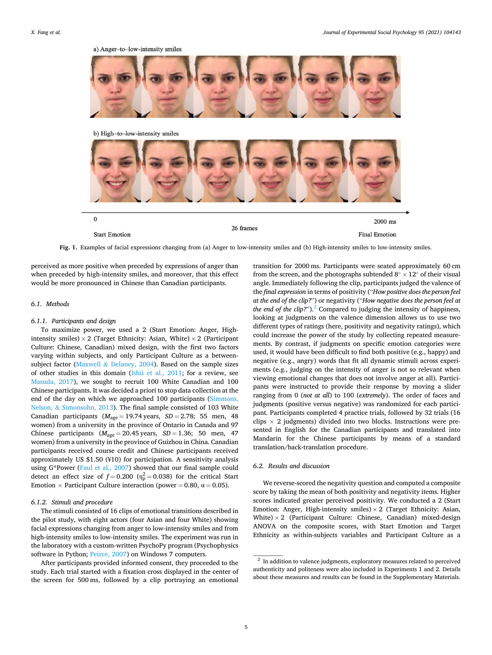

**Fig. 1.** Examples of facial expressions changing from (a) Anger to low-intensity smiles and (b) High-intensity smiles to low-intensity smiles.

perceived as more positive when preceded by expressions of anger than when preceded by high-intensity smiles, and moreover, that this effect would be more pronounced in Chinese than Canadian participants.

### *6.1. Methods*

#### *6.1.1. Participants and design*

To maximize power, we used a 2 (Start Emotion: Anger, Highintensity smiles)  $\times$  2 (Target Ethnicity: Asian, White)  $\times$  2 (Participant Culture: Chinese, Canadian) mixed design, with the first two factors varying within subjects, and only Participant Culture as a betweensubject factor (Maxwell & Delaney, 2004). Based on the sample sizes of other studies in this domain (Ishii et al., 2011; for a review, see Masuda, 2017), we sought to recruit 100 White Canadian and 100 Chinese participants. It was decided a priori to stop data collection at the end of the day on which we approached 100 participants (Simmons, Nelson, & Simonsohn, 2013). The final sample consisted of 103 White Canadian participants  $(M<sub>age</sub> = 19.74 \text{ years}, SD = 2.78; 55 \text{ men}, 48$ women) from a university in the province of Ontario in Canada and 97 Chinese participants  $(M_{\text{age}} = 20.45 \text{ years}, SD = 1.36; 50 \text{ men}, 47$ women) from a university in the province of Guizhou in China. Canadian participants received course credit and Chinese participants received approximately US \$1.50 (¥10) for participation. A sensitivity analysis using G\*Power (Faul et al., 2007) showed that our final sample could detect an effect size of  $f = 0.200 \, (\eta_p^2 = 0.038)$  for the critical Start Emotion  $\times$  Participant Culture interaction (power = 0.80,  $\alpha$  = 0.05).

#### *6.1.2. Stimuli and procedure*

The stimuli consisted of 16 clips of emotional transitions described in the pilot study, with eight actors (four Asian and four White) showing facial expressions changing from anger to low-intensity smiles and from high-intensity smiles to low-intensity smiles. The experiment was run in the laboratory with a custom-written PsychoPy program (Psychophysics software in Python; Peirce, 2007) on Windows 7 computers.

After participants provided informed consent, they proceeded to the study. Each trial started with a fixation cross displayed in the center of the screen for 500 ms, followed by a clip portraying an emotional

transition for 2000 ms. Participants were seated approximately 60 cm from the screen, and the photographs subtended 8°  $\times$  12° of their visual angle. Immediately following the clip, participants judged the valence of the *final expression* in terms of positivity ("*How positive does the person feel at the end of the clip?*") or negativity ("*How negative does the person feel at the end of the clip?*").<sup>2</sup> Compared to judging the intensity of happiness, looking at judgments on the valence dimension allows us to use two different types of ratings (here, positivity and negativity ratings), which could increase the power of the study by collecting repeated measurements. By contrast, if judgments on specific emotion categories were used, it would have been difficult to find both positive (e.g., happy) and negative (e.g., angry) words that fit all dynamic stimuli across experiments (e.g., judging on the intensity of anger is not so relevant when viewing emotional changes that does not involve anger at all). Participants were instructed to provide their response by moving a slider ranging from 0 (*not at all*) to 100 (*extremely*). The order of faces and judgments (positive versus negative) was randomized for each participant. Participants completed 4 practice trials, followed by 32 trials (16 clips  $\times$  2 judgments) divided into two blocks. Instructions were presented in English for the Canadian participants and translated into Mandarin for the Chinese participants by means of a standard translation/back-translation procedure.

### *6.2. Results and discussion*

We reverse-scored the negativity question and computed a composite score by taking the mean of both positivity and negativity items. Higher scores indicated greater perceived positivity. We conducted a 2 (Start Emotion: Anger, High-intensity smiles)  $\times$  2 (Target Ethnicity: Asian, White)  $\times$  2 (Participant Culture: Chinese, Canadian) mixed-design ANOVA on the composite scores, with Start Emotion and Target Ethnicity as within-subjects variables and Participant Culture as a

<sup>&</sup>lt;sup>2</sup> In addition to valence judgments, exploratory measures related to perceived authenticity and politeness were also included in Experiments 1 and 2. Details about these measures and results can be found in the Supplementary Materials.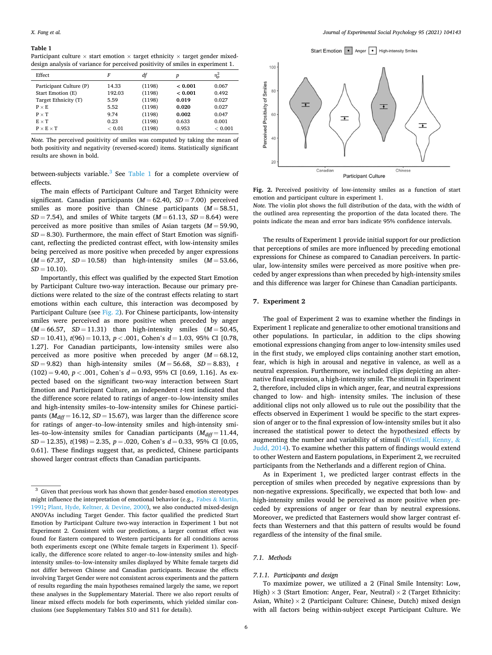#### **Table 1**

Participant culture  $\times$  start emotion  $\times$  target ethnicity  $\times$  target gender mixeddesign analysis of variance for perceived positivity of smiles in experiment 1.

| Effect                  | F      | df     | p       | $\eta_{\rm p}^2$ |
|-------------------------|--------|--------|---------|------------------|
| Participant Culture (P) | 14.33  | (1198) | < 0.001 | 0.067            |
| Start Emotion (E)       | 192.03 | (1198) | < 0.001 | 0.492            |
| Target Ethnicity (T)    | 5.59   | (1198) | 0.019   | 0.027            |
| $P \times E$            | 5.52   | (1198) | 0.020   | 0.027            |
| $P \times T$            | 9.74   | (1198) | 0.002   | 0.047            |
| $E \times T$            | 0.23   | (1198) | 0.633   | 0.001            |
| $P \times E \times T$   | < 0.01 | (1198) | 0.953   | < 0.001          |

*Note.* The perceived positivity of smiles was computed by taking the mean of both positivity and negativity (reversed-scored) items. Statistically significant results are shown in bold.

between-subjects variable.<sup>3</sup> See Table 1 for a complete overview of effects.

The main effects of Participant Culture and Target Ethnicity were significant. Canadian participants  $(M = 62.40, SD = 7.00)$  perceived smiles as more positive than Chinese participants  $(M = 58.51,$  $SD = 7.54$ , and smiles of White targets ( $M = 61.13$ ,  $SD = 8.64$ ) were perceived as more positive than smiles of Asian targets  $(M = 59.90,$  $SD = 8.30$ ). Furthermore, the main effect of Start Emotion was significant, reflecting the predicted contrast effect, with low-intensity smiles being perceived as more positive when preceded by anger expressions (*M* = 67.37, *SD* = 10.58) than high-intensity smiles (*M* = 53.66,  $SD = 10.10$ ).

Importantly, this effect was qualified by the expected Start Emotion by Participant Culture two-way interaction. Because our primary predictions were related to the size of the contrast effects relating to start emotions within each culture, this interaction was decomposed by Participant Culture (see Fig. 2). For Chinese participants, low-intensity smiles were perceived as more positive when preceded by anger  $(M = 66.57, SD = 11.31)$  than high-intensity smiles  $(M = 50.45,$ *SD* = 10.41), *t*(96) = 10.13, *p <* .001, Cohen's *d* = 1.03, 95% CI [0.78, 1.27]. For Canadian participants, low-intensity smiles were also perceived as more positive when preceded by anger  $(M = 68.12,$  $SD = 9.82$ ) than high-intensity smiles  $(M = 56.68, SD = 8.83)$ , *t*  $(102) = 9.40, p < .001$ , Cohen's  $d = 0.93, 95\%$  CI [0.69, 1.16]. As expected based on the significant two-way interaction between Start Emotion and Participant Culture, an independent *t*-test indicated that the difference score related to ratings of anger–to–low-intensity smiles and high-intensity smiles–to–low-intensity smiles for Chinese participants ( $M_{diff}$  = 16.12, *SD* = 15.67), was larger than the difference score for ratings of anger–to–low-intensity smiles and high-intensity smiles–to–low-intensity smiles for Canadian participants  $(M_{diff} = 11.44,$ *SD* = 12.35), *t*(198) = 2.35, *p* = .020, Cohen's *d* = 0.33, 95% CI [0.05, 0.61]. These findings suggest that, as predicted, Chinese participants showed larger contrast effects than Canadian participants.

Chinese



**Fig. 2.** Perceived positivity of low-intensity smiles as a function of start emotion and participant culture in experiment 1.

Participant Culture

Canadian

*Note.* The violin plot shows the full distribution of the data, with the width of the outlined area representing the proportion of the data located there. The points indicate the mean and error bars indicate 95% confidence intervals.

The results of Experiment 1 provide initial support for our prediction that perceptions of smiles are more influenced by preceding emotional expressions for Chinese as compared to Canadian perceivers. In particular, low-intensity smiles were perceived as more positive when preceded by anger expressions than when preceded by high-intensity smiles and this difference was larger for Chinese than Canadian participants.

#### **7. Experiment 2**

 $\overline{4}$ 

 $2($ 

The goal of Experiment 2 was to examine whether the findings in Experiment 1 replicate and generalize to other emotional transitions and other populations. In particular, in addition to the clips showing emotional expressions changing from anger to low-intensity smiles used in the first study, we employed clips containing another start emotion, fear, which is high in arousal and negative in valence, as well as a neutral expression. Furthermore, we included clips depicting an alternative final expression, a high-intensity smile. The stimuli in Experiment 2, therefore, included clips in which anger, fear, and neutral expressions changed to low- and high- intensity smiles. The inclusion of these additional clips not only allowed us to rule out the possibility that the effects observed in Experiment 1 would be specific to the start expression of anger or to the final expression of low-intensity smiles but it also increased the statistical power to detect the hypothesized effects by augmenting the number and variability of stimuli (Westfall, Kenny, & Judd, 2014). To examine whether this pattern of findings would extend to other Western and Eastern populations, in Experiment 2, we recruited participants from the Netherlands and a different region of China.

As in Experiment 1, we predicted larger contrast effects in the perception of smiles when preceded by negative expressions than by non-negative expressions. Specifically, we expected that both low- and high-intensity smiles would be perceived as more positive when preceded by expressions of anger or fear than by neutral expressions. Moreover, we predicted that Easterners would show larger contrast effects than Westerners and that this pattern of results would be found regardless of the intensity of the final smile.

#### *7.1. Methods*

#### *7.1.1. Participants and design*

To maximize power, we utilized a 2 (Final Smile Intensity: Low, High)  $\times$  3 (Start Emotion: Anger, Fear, Neutral)  $\times$  2 (Target Ethnicity: Asian, White)  $\times$  2 (Participant Culture: Chinese, Dutch) mixed design with all factors being within-subject except Participant Culture. We

 $3$  Given that previous work has shown that gender-based emotion stereotypes might influence the interpretation of emotional behavior (e.g., Fabes & Martin, 1991; Plant, Hyde, Keltner, & Devine, 2000), we also conducted mixed-design ANOVAs including Target Gender. This factor qualified the predicted Start Emotion by Participant Culture two-way interaction in Experiment 1 but not Experiment 2. Consistent with our predictions, a larger contrast effect was found for Eastern compared to Western participants for all conditions across both experiments except one (White female targets in Experiment 1). Specifically, the difference score related to anger–to–low-intensity smiles and highintensity smiles–to–low-intensity smiles displayed by White female targets did not differ between Chinese and Canadian participants. Because the effects involving Target Gender were not consistent across experiments and the pattern of results regarding the main hypotheses remained largely the same, we report these analyses in the Supplementary Material. There we also report results of linear mixed effects models for both experiments, which yielded similar conclusions (see Supplementary Tables S10 and S11 for details).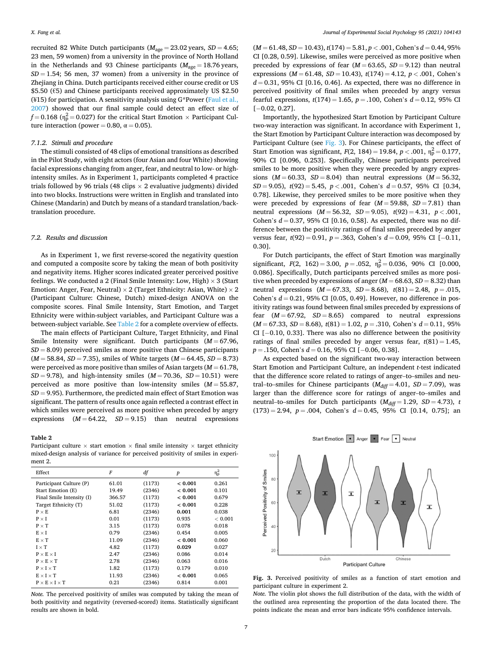recruited 82 White Dutch participants ( $M_{\text{age}} = 23.02$  years,  $SD = 4.65$ ; 23 men, 59 women) from a university in the province of North Holland in the Netherlands and 93 Chinese participants  $(M<sub>age</sub> = 18.76$  years,  $SD = 1.54$ ; 56 men, 37 women) from a university in the province of Zhejiang in China. Dutch participants received either course credit or US \$5.50 (€5) and Chinese participants received approximately US \$2.50 (¥15) for participation. A sensitivity analysis using  $G*Power$  (Faul et al., 2007) showed that our final sample could detect an effect size of  $f = 0.168$  ( $\eta_p^2 = 0.027$ ) for the critical Start Emotion  $\times$  Participant Culture interaction (power = 0.80,  $\alpha$  = 0.05).

#### *7.1.2. Stimuli and procedure*

The stimuli consisted of 48 clips of emotional transitions as described in the Pilot Study, with eight actors (four Asian and four White) showing facial expressions changing from anger, fear, and neutral to low- or highintensity smiles. As in Experiment 1, participants completed 4 practice trials followed by 96 trials (48 clips  $\times$  2 evaluative judgments) divided into two blocks. Instructions were written in English and translated into Chinese (Mandarin) and Dutch by means of a standard translation/backtranslation procedure.

#### *7.2. Results and discussion*

As in Experiment 1, we first reverse-scored the negativity question and computed a composite score by taking the mean of both positivity and negativity items. Higher scores indicated greater perceived positive feelings. We conducted a 2 (Final Smile Intensity: Low, High)  $\times$  3 (Start Emotion: Anger, Fear, Neutral)  $\times$  2 (Target Ethnicity: Asian, White)  $\times$  2 (Participant Culture: Chinese, Dutch) mixed-design ANOVA on the composite scores. Final Smile Intensity, Start Emotion, and Target Ethnicity were within-subject variables, and Participant Culture was a between-subject variable. See Table 2 for a complete overview of effects.

The main effects of Participant Culture, Target Ethnicity, and Final Smile Intensity were significant. Dutch participants ( $M = 67.96$ ,  $SD = 8.09$ ) perceived smiles as more positive than Chinese participants  $(M = 58.84, SD = 7.35)$ , smiles of White targets  $(M = 64.45, SD = 8.73)$ were perceived as more positive than smiles of Asian targets  $(M = 61.78$ ,  $SD = 9.78$ , and high-intensity smiles  $(M = 70.36, SD = 10.51)$  were perceived as more positive than low-intensity smiles  $(M = 55.87)$ ,  $SD = 9.95$ ). Furthermore, the predicted main effect of Start Emotion was significant. The pattern of results once again reflected a contrast effect in which smiles were perceived as more positive when preceded by angry expressions  $(M = 64.22, SD = 9.15)$  than neutral expressions

#### **Table 2**

Participant culture  $\times$  start emotion  $\times$  final smile intensity  $\times$  target ethnicity mixed-design analysis of variance for perceived positivity of smiles in experiment 2.

| Effect                         | F      | df     | p       | $\eta_p^2$ |
|--------------------------------|--------|--------|---------|------------|
| Participant Culture (P)        | 61.01  | (1173) | < 0.001 | 0.261      |
| Start Emotion (E)              | 19.49  | (2346) | < 0.001 | 0.101      |
| Final Smile Intensity (I)      | 366.57 | (1173) | < 0.001 | 0.679      |
| Target Ethnicity (T)           | 51.02  | (1173) | < 0.001 | 0.228      |
| $P \times E$                   | 6.81   | (2346) | 0.001   | 0.038      |
| $P \times I$                   | 0.01   | (1173) | 0.935   | < 0.001    |
| $P \times T$                   | 3.15   | (1173) | 0.078   | 0.018      |
| $E \times I$                   | 0.79   | (2346) | 0.454   | 0.005      |
| $E \times T$                   | 11.09  | (2346) | < 0.001 | 0.060      |
| $I \times T$                   | 4.82   | (1173) | 0.029   | 0.027      |
| $P \times E \times I$          | 2.47   | (2346) | 0.086   | 0.014      |
| $P \times E \times T$          | 2.78   | (2346) | 0.063   | 0.016      |
| $P \times I \times T$          | 1.82   | (1173) | 0.179   | 0.010      |
| $E \times I \times T$          | 11.93  | (2346) | < 0.001 | 0.065      |
| $P \times E \times I \times T$ | 0.21   | (2346) | 0.814   | 0.001      |

*Note.* The perceived positivity of smiles was computed by taking the mean of both positivity and negativity (reversed-scored) items. Statistically significant results are shown in bold.

 $(M = 61.48, SD = 10.43), t(174) = 5.81, p < .001, Cohen's d = 0.44, 95\%$ CI [0.28, 0.59]. Likewise, smiles were perceived as more positive when preceded by expressions of fear  $(M = 63.65, SD = 9.12)$  than neutral expressions  $(M = 61.48, SD = 10.43)$ ,  $t(174) = 4.12, p < .001$ , Cohen's  $d = 0.31$ , 95% CI [0.16, 0.46]. As expected, there was no difference in perceived positivity of final smiles when preceded by angry versus fearful expressions,  $t(174) = 1.65$ ,  $p = .100$ , Cohen's  $d = 0.12$ , 95% CI  $[-0.02, 0.27]$ .

Importantly, the hypothesized Start Emotion by Participant Culture two-way interaction was significant. In accordance with Experiment 1, the Start Emotion by Participant Culture interaction was decomposed by Participant Culture (see Fig. 3). For Chinese participants, the effect of Start Emotion was significant,  $F(2, 184) = 19.84$ ,  $p < .001$ ,  $\eta_p^2 = 0.177$ , 90% CI [0.096, 0.253]. Specifically, Chinese participants perceived smiles to be more positive when they were preceded by angry expressions  $(M = 60.33, SD = 8.04)$  than neutral expressions  $(M = 56.32,$ *SD* = 9.05),  $t(92) = 5.45$ ,  $p < .001$ , Cohen's  $d = 0.57$ , 95% CI [0.34, 0.78]. Likewise, they perceived smiles to be more positive when they were preceded by expressions of fear  $(M = 59.88, SD = 7.81)$  than neutral expressions  $(M = 56.32, SD = 9.05)$ ,  $t(92) = 4.31$ ,  $p < .001$ , Cohen's  $d = 0.37$ , 95% CI [0.16, 0.58]. As expected, there was no difference between the positivity ratings of final smiles preceded by anger versus fear, *t*(92) = 0.91, *p* = .363, Cohen's *d* = 0.09, 95% CI [− 0.11, 0.30].

For Dutch participants, the effect of Start Emotion was marginally significant,  $F(2, 162) = 3.00$ ,  $p = .052$ ,  $\eta_p^2 = 0.036$ , 90% CI [0.000, 0.086]. Specifically, Dutch participants perceived smiles as more positive when preceded by expressions of anger  $(M = 68.63, SD = 8.32)$  than neutral expressions  $(M = 67.33, SD = 8.68)$ ,  $t(81) = 2.48, p = .015$ , Cohen's  $d = 0.21$ , 95% CI [0.05, 0.49]. However, no difference in positivity ratings was found between final smiles preceded by expressions of fear  $(M = 67.92, SD = 8.65)$  compared to neutral expressions  $(M = 67.33, SD = 8.68), t(81) = 1.02, p = .310, Cohen's d = 0.11, 95%$ CI [− 0.10, 0.33]. There was also no difference between the positivity ratings of final smiles preceded by anger versus fear,  $t(81) = 1.45$ , *p* = .150, Cohen's *d* = 0.16, 95% CI [−0.06, 0.38].

As expected based on the significant two-way interaction between Start Emotion and Participant Culture, an independent *t*-test indicated that the difference score related to ratings of anger–to–smiles and neutral–to–smiles for Chinese participants  $(M_{diff} = 4.01, SD = 7.09)$ , was larger than the difference score for ratings of anger–to–smiles and neutral–to–smiles for Dutch participants  $(M<sub>diff</sub> = 1.29, SD = 4.73)$ , *t*  $(173) = 2.94$ ,  $p = .004$ , Cohen's  $d = 0.45$ , 95% CI [0.14, 0.75]; an



**Fig. 3.** Perceived positivity of smiles as a function of start emotion and participant culture in experiment 2.

*Note.* The violin plot shows the full distribution of the data, with the width of the outlined area representing the proportion of the data located there. The points indicate the mean and error bars indicate 95% confidence intervals.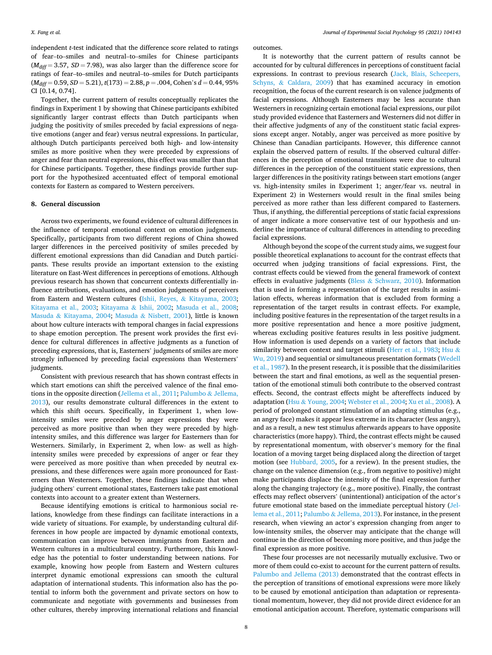independent *t*-test indicated that the difference score related to ratings of fear–to–smiles and neutral–to–smiles for Chinese participants  $(M<sub>diff</sub> = 3.57, SD = 7.98)$ , was also larger than the difference score for ratings of fear–to–smiles and neutral–to–smiles for Dutch participants (*Mdiff* = 0.59, *SD* = 5.21), *t*(173) = 2.88, *p* = .004, Cohen's *d* = 0.44, 95% CI [0.14, 0.74].

Together, the current pattern of results conceptually replicates the findings in Experiment 1 by showing that Chinese participants exhibited significantly larger contrast effects than Dutch participants when judging the positivity of smiles preceded by facial expressions of negative emotions (anger and fear) versus neutral expressions. In particular, although Dutch participants perceived both high- and low-intensity smiles as more positive when they were preceded by expressions of anger and fear than neutral expressions, this effect was smaller than that for Chinese participants. Together, these findings provide further support for the hypothesized accentuated effect of temporal emotional contexts for Eastern as compared to Western perceivers.

#### **8. General discussion**

Across two experiments, we found evidence of cultural differences in the influence of temporal emotional context on emotion judgments. Specifically, participants from two different regions of China showed larger differences in the perceived positivity of smiles preceded by different emotional expressions than did Canadian and Dutch participants. These results provide an important extension to the existing literature on East-West differences in perceptions of emotions. Although previous research has shown that concurrent contexts differentially influence attributions, evaluations, and emotion judgments of perceivers from Eastern and Western cultures (Ishii, Reyes, & Kitayama, 2003; Kitayama et al., 2003; Kitayama & Ishii, 2002; Masuda et al., 2008; Masuda & Kitayama, 2004; Masuda & Nisbett, 2001), little is known about how culture interacts with temporal changes in facial expressions to shape emotion perception. The present work provides the first evidence for cultural differences in affective judgments as a function of preceding expressions, that is, Easterners' judgments of smiles are more strongly influenced by preceding facial expressions than Westerners' judgments.

Consistent with previous research that has shown contrast effects in which start emotions can shift the perceived valence of the final emotions in the opposite direction (Jellema et al., 2011; Palumbo & Jellema, 2013), our results demonstrate cultural differences in the extent to which this shift occurs. Specifically, in Experiment 1, when lowintensity smiles were preceded by anger expressions they were perceived as more positive than when they were preceded by highintensity smiles, and this difference was larger for Easterners than for Westerners. Similarly, in Experiment 2, when low- as well as highintensity smiles were preceded by expressions of anger or fear they were perceived as more positive than when preceded by neutral expressions, and these differences were again more pronounced for Easterners than Westerners. Together, these findings indicate that when judging others' current emotional states, Easterners take past emotional contexts into account to a greater extent than Westerners.

Because identifying emotions is critical to harmonious social relations, knowledge from these findings can facilitate interactions in a wide variety of situations. For example, by understanding cultural differences in how people are impacted by dynamic emotional contexts, communication can improve between immigrants from Eastern and Western cultures in a multicultural country. Furthermore, this knowledge has the potential to foster understanding between nations. For example, knowing how people from Eastern and Western cultures interpret dynamic emotional expressions can smooth the cultural adaptation of international students. This information also has the potential to inform both the government and private sectors on how to communicate and negotiate with governments and businesses from other cultures, thereby improving international relations and financial outcomes.

It is noteworthy that the current pattern of results cannot be accounted for by cultural differences in perceptions of constituent facial expressions. In contrast to previous research (Jack, Blais, Scheepers, Schyns, & Caldara, 2009) that has examined accuracy in emotion recognition, the focus of the current research is on valence judgments of facial expressions. Although Easterners may be less accurate than Westerners in recognizing certain emotional facial expressions, our pilot study provided evidence that Easterners and Westerners did not differ in their affective judgments of any of the constituent static facial expressions except anger. Notably, anger was perceived as more positive by Chinese than Canadian participants. However, this difference cannot explain the observed pattern of results. If the observed cultural differences in the perception of emotional transitions were due to cultural differences in the perception of the constituent static expressions, then larger differences in the positivity ratings between start emotions (anger vs. high-intensity smiles in Experiment 1; anger/fear vs. neutral in Experiment 2) in Westerners would result in the final smiles being perceived as more rather than less different compared to Easterners. Thus, if anything, the differential perceptions of static facial expressions of anger indicate a more conservative test of our hypothesis and underline the importance of cultural differences in attending to preceding facial expressions.

Although beyond the scope of the current study aims, we suggest four possible theoretical explanations to account for the contrast effects that occurred when judging transitions of facial expressions. First, the contrast effects could be viewed from the general framework of context effects in evaluative judgments (Bless & Schwarz, 2010). Information that is used in forming a representation of the target results in assimilation effects, whereas information that is excluded from forming a representation of the target results in contrast effects. For example, including positive features in the representation of the target results in a more positive representation and hence a more positive judgment, whereas excluding positive features results in less positive judgment. How information is used depends on a variety of factors that include similarity between context and target stimuli (Herr et al., 1983; Hsu & Wu, 2019) and sequential or simultaneous presentation formats (Wedell et al., 1987). In the present research, it is possible that the dissimilarities between the start and final emotions, as well as the sequential presentation of the emotional stimuli both contribute to the observed contrast effects. Second, the contrast effects might be aftereffects induced by adaptation (Hsu & Young, 2004; Webster et al., 2004; Xu et al., 2008). A period of prolonged constant stimulation of an adapting stimulus (e.g., an angry face) makes it appear less extreme in its character (less angry), and as a result, a new test stimulus afterwards appears to have opposite characteristics (more happy). Third, the contrast effects might be caused by representational momentum, with observer's memory for the final location of a moving target being displaced along the direction of target motion (see Hubbard, 2005, for a review). In the present studies, the change on the valence dimension (e.g., from negative to positive) might make participants displace the intensity of the final expression further along the changing trajectory (e.g., more positive). Finally, the contrast effects may reflect observers' (unintentional) anticipation of the actor's future emotional state based on the immediate perceptual history (Jellema et al., 2011; Palumbo & Jellema, 2013). For instance, in the present research, when viewing an actor's expression changing from anger to low-intensity smiles, the observer may anticipate that the change will continue in the direction of becoming more positive, and thus judge the final expression as more positive.

These four processes are not necessarily mutually exclusive. Two or more of them could co-exist to account for the current pattern of results. Palumbo and Jellema (2013) demonstrated that the contrast effects in the perception of transitions of emotional expressions were more likely to be caused by emotional anticipation than adaptation or representational momentum, however, they did not provide direct evidence for an emotional anticipation account. Therefore, systematic comparisons will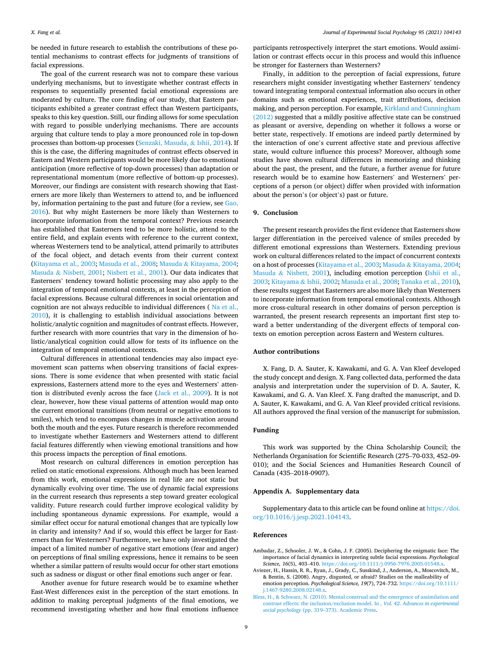be needed in future research to establish the contributions of these potential mechanisms to contrast effects for judgments of transitions of facial expressions.

The goal of the current research was not to compare these various underlying mechanisms, but to investigate whether contrast effects in responses to sequentially presented facial emotional expressions are moderated by culture. The core finding of our study, that Eastern participants exhibited a greater contrast effect than Western participants, speaks to this key question. Still, our finding allows for some speculation with regard to possible underlying mechanisms. There are accounts arguing that culture tends to play a more pronounced role in top-down processes than bottom-up processes (Senzaki, Masuda, & Ishii, 2014). If this is the case, the differing magnitudes of contrast effects observed in Eastern and Western participants would be more likely due to emotional anticipation (more reflective of top-down processes) than adaptation or representational momentum (more reflective of bottom-up processes). Moreover, our findings are consistent with research showing that Easterners are more likely than Westerners to attend to, and be influenced by, information pertaining to the past and future (for a review, see Gao, 2016). But why might Easterners be more likely than Westerners to incorporate information from the temporal context? Previous research has established that Easterners tend to be more holistic, attend to the entire field, and explain events with reference to the current context, whereas Westerners tend to be analytical, attend primarily to attributes of the focal object, and detach events from their current context (Kitayama et al., 2003; Masuda et al., 2008; Masuda & Kitayama, 2004; Masuda & Nisbett, 2001; Nisbett et al., 2001). Our data indicates that Easterners' tendency toward holistic processing may also apply to the integration of temporal emotional contexts, at least in the perception of facial expressions. Because cultural differences in social orientation and cognition are not always reducible to individual differences (Na et al., 2010), it is challenging to establish individual associations between holistic/analytic cognition and magnitudes of contrast effects. However, further research with more countries that vary in the dimension of holistic/analytical cognition could allow for tests of its influence on the integration of temporal emotional contexts.

Cultural differences in attentional tendencies may also impact eyemovement scan patterns when observing transitions of facial expressions. There is some evidence that when presented with static facial expressions, Easterners attend more to the eyes and Westerners' attention is distributed evenly across the face (Jack et al., 2009). It is not clear, however, how these visual patterns of attention would map onto the current emotional transitions (from neutral or negative emotions to smiles), which tend to encompass changes in muscle activation around both the mouth and the eyes. Future research is therefore recommended to investigate whether Easterners and Westerners attend to different facial features differently when viewing emotional transitions and how this process impacts the perception of final emotions.

Most research on cultural differences in emotion perception has relied on static emotional expressions. Although much has been learned from this work, emotional expressions in real life are not static but dynamically evolving over time. The use of dynamic facial expressions in the current research thus represents a step toward greater ecological validity. Future research could further improve ecological validity by including spontaneous dynamic expressions. For example, would a similar effect occur for natural emotional changes that are typically low in clarity and intensity? And if so, would this effect be larger for Easterners than for Westerners? Furthermore, we have only investigated the impact of a limited number of negative start emotions (fear and anger) on perceptions of final smiling expressions, hence it remains to be seen whether a similar pattern of results would occur for other start emotions such as sadness or disgust or other final emotions such anger or fear.

Another avenue for future research would be to examine whether East-West differences exist in the perception of the start emotions. In addition to making perceptual judgments of the final emotions, we recommend investigating whether and how final emotions influence

participants retrospectively interpret the start emotions. Would assimilation or contrast effects occur in this process and would this influence be stronger for Easterners than Westerners?

Finally, in addition to the perception of facial expressions, future researchers might consider investigating whether Easterners' tendency toward integrating temporal contextual information also occurs in other domains such as emotional experiences, trait attributions, decision making, and person perception. For example, Kirkland and Cunningham (2012) suggested that a mildly positive affective state can be construed as pleasant or aversive, depending on whether it follows a worse or better state, respectively. If emotions are indeed partly determined by the interaction of one's current affective state and previous affective state, would culture influence this process? Moreover, although some studies have shown cultural differences in memorizing and thinking about the past, the present, and the future, a further avenue for future research would be to examine how Easterners' and Westerners' perceptions of a person (or object) differ when provided with information about the person's (or object's) past or future.

#### **9. Conclusion**

The present research provides the first evidence that Easterners show larger differentiation in the perceived valence of smiles preceded by different emotional expressions than Westerners. Extending previous work on cultural differences related to the impact of concurrent contexts on a host of processes (Kitayama et al., 2003; Masuda & Kitayama, 2004; Masuda & Nisbett, 2001), including emotion perception (Ishii et al., 2003; Kitayama & Ishii, 2002; Masuda et al., 2008; Tanaka et al., 2010), these results suggest that Easterners are also more likely than Westerners to incorporate information from temporal emotional contexts. Although more cross-cultural research in other domains of person perception is warranted, the present research represents an important first step toward a better understanding of the divergent effects of temporal contexts on emotion perception across Eastern and Western cultures.

### **Author contributions**

X. Fang, D. A. Sauter, K. Kawakami, and G. A. Van Kleef developed the study concept and design. X. Fang collected data, performed the data analysis and interpretation under the supervision of D. A. Sauter, K. Kawakami, and G. A. Van Kleef. X. Fang drafted the manuscript, and D. A. Sauter, K. Kawakami, and G. A. Van Kleef provided critical revisions. All authors approved the final version of the manuscript for submission.

#### **Funding**

This work was supported by the China Scholarship Council; the Netherlands Organisation for Scientific Research (275–70-033, 452–09- 010); and the Social Sciences and Humanities Research Council of Canada (435–2018-0907).

## **Appendix A. Supplementary data**

Supplementary data to this article can be found online at https://doi. org/10.1016/j.jesp.2021.104143.

#### **References**

- Ambadar, Z., Schooler, J. W., & Cohn, J. F. (2005). Deciphering the enigmatic face: The importance of facial dynamics in interpreting subtle facial expressions. *Psychological Science, 16*(5), 403–410. https://doi.org/10.1111/j.0956-7976.2005.01548.x.
- Aviezer, H., Hassin, R. R., Ryan, J., Grady, C., Susskind, J., Anderson, A., Moscovitch, M., & Bentin, S. (2008). Angry, disgusted, or afraid? Studies on the malleability of emotion perception. *Psychological Science, 19*(7), 724–732. https://doi.org/10.1111/ j.1467-9280.2008.02148.x.
- Bless, H., & Schwarz, N. (2010). Mental construal and the emergence of assimilation and contrast effects: the inclusion/exclusion model. In *, Vol. 42*. *Advances in experimental social psychology* (pp. 319–373). Academic Press.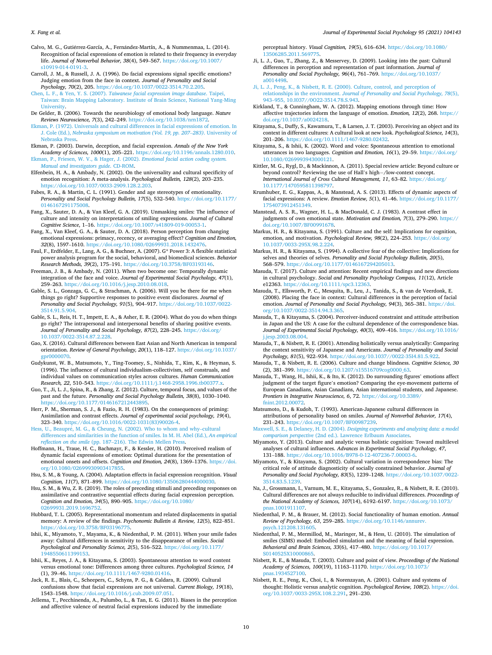Calvo, M. G., Gutiérrez-García, A., Fernández-Martín, A., & Nummenmaa, L. (2014). Recognition of facial expressions of emotion is related to their frequency in everyday life. *Journal of Nonverbal Behavior, 38*(4), 549–567. https://doi.org/10.1007/ s10919-014-0191-3.

- Carroll, J. M., & Russell, J. A. (1996). Do facial expressions signal specific emotions? Judging emotion from the face in context. *Journal of Personality and Social Psychology, 70*(2), 205. https://doi.org/10.1037/0022-3514.70.2.205.
- Chen, L. F., & Yen, Y. S. (2007). *Taiwanese facial expression image database*. Taipei, Taiwan: Brain Mapping Laboratory. Institute of Brain Science, National Yang-Ming University.
- De Gelder, B. (2006). Towards the neurobiology of emotional body language. *Nature Reviews Neuroscience, 7*(3), 242–249. https://doi.org/10.1038/nrn1872.
- Ekman, P. (1972). Universals and cultural differences in facial expressions of emotion. In J. Cole (Ed.), *Nebraska symposium on motivation (Vol. 19, pp. 207*–*283)*. University of
- Nebraska Press. Ekman, P. (2003). Darwin, deception, and facial expression. *Annals of the New York Academy of Sciences, 1000*(1), 205–221. https://doi.org/10.1196/annals.1280.010.
- Ekman, P., Friesen, W. V., & Hager, J. (2002). *Emotional facial action coding system. Manual and investigators guide*. CD-ROM.
- Elfenbein, H. A., & Ambady, N. (2002). On the universality and cultural specificity of emotion recognition: A meta-analysis. *Psychological Bulletin, 128*(2), 203–235. https://doi.org/10.1037/0033-2909.128.2.203.
- Fabes, R. A., & Martin, C. L. (1991). Gender and age stereotypes of emotionality. *Personality and Social Psychology Bulletin, 17*(5), 532–540. https://doi.org/10.1177/ 0146167291175008.
- Fang, X., Sauter, D. A., & Van Kleef, G. A. (2019). Unmasking smiles: The influence of culture and intensity on interpretations of smiling expressions. *Journal of Cultural Cognitive Science*, 1–16. https://doi.org/10.1007/s41809-019-00053-1.
- Fang, X., Van Kleef, G. A., & Sauter, D. A. (2018). Person perception from changing emotional expressions: primacy, recency, or averaging effect? *Cognition and Emotion, 32*(8), 1597–1610. https://doi.org/10.1080/02699931.2018.1432476.
- Faul, F., Erdfelder, E., Lang, A. G., & Buchner, A. (2007). G\* Power 3: A flexible statistical power analysis program for the social, behavioral, and biomedical sciences. *Behavior Research Methods, 39*(2), 175–191. https://doi.org/10.3758/BF03193146.
- Freeman, J. B., & Ambady, N. (2011). When two become one: Temporally dynamic integration of the face and voice. *Journal of Experimental Social Psychology, 47*(1), 259–263. https://doi.org/10.1016/j.jesp.2010.08.018.
- Gable, S. L., Gonzaga, G. C., & Strachman, A. (2006). Will you be there for me when things go right? Supportive responses to positive event disclosures. *Journal of Personality and Social Psychology, 91*(5), 904–917. https://doi.org/10.1037/0022- 3514.91.5.904.
- Gable, S. L., Reis, H. T., Impett, E. A., & Asher, E. R. (2004). What do you do when things go right? The intrapersonal and interpersonal benefits of sharing positive events. *Journal of Personality and Social Psychology, 87*(2), 228–245. https://doi.org/ 10.1037/0022-3514.87.2.228.
- Gao, X. (2016). Cultural differences between East Asian and North American in temporal orientation. *Review of General Psychology, 20*(1), 118–127. https://doi.org/10.1037/ gpr0000070.
- Gudykunst, W. B., Matsumoto, Y., Ting-Toomey, S., Nishida, T., Kim, K., & Heyman, S. (1996). The influence of cultural individualism-collectivism, self construals, and individual values on communication styles across cultures. *Human Communication Research, 22*, 510–543. https://doi.org/10.1111/j.1468-2958.1996.tb00377.x.
- Guo, T., Ji, L. J., Spina, R., & Zhang, Z. (2012). Culture, temporal focus, and values of the past and the future. *Personality and Social Psychology Bulletin, 38*(8), 1030–1040. https://doi.org/10.1177/0146167212443895.
- Herr, P. M., Sherman, S. J., & Fazio, R. H. (1983). On the consequences of priming: Assimilation and contrast effects. *Journal of experimental social psychology, 19*(4), 323–340. https://doi.org/10.1016/0022-1031(83)90026-4.
- Hess, U., Beaupré, M. G., & Cheung, N. (2002). Who to whom and why-cultural differences and similarities in the function of smiles. In M. H. Abel (Ed.), *An empirical reflection on the smile* (pp. 187–216). The Edwin Mellen Press.
- Hoffmann, H., Traue, H. C., Bachmayr, F., & Kessler, H. (2010). Perceived realism of dynamic facial expressions of emotion: Optimal durations for the presentation of emotional onsets and offsets. *Cognition and Emotion, 24*(8), 1369–1376. https://doi. org/10.1080/02699930903417855.
- Hsu, S. M., & Young, A. (2004). Adaptation effects in facial expression recognition. *Visual Cognition, 11*(7), 871–899. https://doi.org/10.1080/13506280444000030.
- Hsu, S. M., & Wu, Z. R. (2019). The roles of preceding stimuli and preceding responses on assimilative and contrastive sequential effects during facial expression perception. *Cognition and Emotion, 34*(5), 890–905. https://doi.org/10.1080/ 02699931.2019.1696752.
- Hubbard, T. L. (2005). Representational momentum and related displacements in spatial memory: A review of the findings. *Psychonomic Bulletin & Review, 12*(5), 822–851. https://doi.org/10.3758/BF03196775.
- Ishii, K., Miyamoto, Y., Mayama, K., & Niedenthal, P. M. (2011). When your smile fades away: Cultural differences in sensitivity to the disappearance of smiles. *Social Psychological and Personality Science, 2*(5), 516–522. https://doi.org/10.1177/ 1948550611399153.
- Ishii, K., Reyes, J. A., & Kitayama, S. (2003). Spontaneous attention to word content versus emotional tone: Differences among three cultures. *Psychological Science, 14*  (1), 39–46. https://doi.org/10.1111/1467-9280.01416.
- Jack, R. E., Blais, C., Scheepers, C., Schyns, P. G., & Caldara, R. (2009). Cultural confusions show that facial expressions are not universal. *Current Biology, 19*(18), 1543–1548. https://doi.org/10.1016/j.cub.2009.07.051.
- Jellema, T., Pecchinenda, A., Palumbo, L., & Tan, E. G. (2011). Biases in the perception and affective valence of neutral facial expressions induced by the immediate

perceptual history. *Visual Cognition, 19*(5), 616–634. https://doi.org/10.1080/ 3506285.2011.56977

- Ji, L. J., Guo, T., Zhang, Z., & Messervey, D. (2009). Looking into the past: Cultural differences in perception and representation of past information. *Journal of Personality and Social Psychology, 96*(4), 761–769. https://doi.org/10.1037/ a0014498.
- Ji, L. J., Peng, K., & Nisbett, R. E. (2000). Culture, control, and perception of relationships in the environment. *Journal of Personality and Social Psychology, 78*(5), 943–955, 10.I037//0O22-3514.78.S.943.
- Kirkland, T., & Cunningham, W. A. (2012). Mapping emotions through time: How affective trajectories inform the language of emotion. *Emotion, 12*(2), 268. https:// doi.org/10.1037/a0024218.
- Kitayama, S., Duffy, S., Kawamura, T., & Larsen, J. T. (2003). Perceiving an object and its context in different cultures: A cultural look at new look. *Psychological Science, 14*(3), 201–206. https://doi.org/10.1111/1467-9280.02432.
- Kitayama, S., & Ishii, K. (2002). Word and voice: Spontaneous attention to emotional utterances in two languages. *Cognition and Emotion, 16*(1), 29–59. https://doi.org/ 10.1080/0269993943000121.
- Kittler, M. G., Rygl, D., & Mackinnon, A. (2011). Special review article: Beyond culture or beyond control? Reviewing the use of Hall's high− /low-context concept. *International Journal of Cross Cultural Management, 11*, 63–82. https://doi.org/ 10.1177/1470595811398797.
- Krumhuber, E. G., Kappas, A., & Manstead, A. S. (2013). Effects of dynamic aspects of facial expressions: A review. *Emotion Review, 5*(1), 41–46. https://doi.org/10.1177/ 1754073912451349.
- Manstead, A. S. R., Wagner, H. L., & MacDonald, C. J. (1983). A contrast effect in judgments of own emotional state. *Motivation and Emotion, 7*(3), 279–290. https:// doi.org/10.1007/BF00991678.
- Markus, H. R., & Kitayama, S. (1991). Culture and the self: Implications for cognition, emotion, and motivation. *Psychological Review, 98*(2), 224–253. https://doi.org/ 10.1037/0033-295X.98.2.224.
- Markus, H. R., & Kitayama, S. (1994). A collective fear of the collective: Implications for selves and theories of selves. *Personality and Social Psychology Bulletin, 20*(5), 568–579. https://doi.org/10.1177/0146167294205013.
- Masuda, T. (2017). Culture and attention: Recent empirical findings and new directions in cultural psychology. *Social and Personality Psychology Compass, 11*(12), Article e12363. https://doi.org/10.1111/spc3.12363.
- Masuda, T., Ellsworth, P. C., Mesquita, B., Leu, J., Tanida, S., & van de Veerdonk, E. (2008). Placing the face in context: Cultural differences in the perception of facial emotion. *Journal of Personality and Social Psychology, 94*(3), 365–381. https://doi. org/10.1037/0022-3514.94.3.365.
- Masuda, T., & Kitayama, S. (2004). Perceiver-induced constraint and attitude attribution in Japan and the US: A case for the cultural dependence of the correspondence bias. *Journal of Experimental Social Psychology, 40*(3), 409–416. https://doi.org/10.1016/ j.jesp.2003.08.004.
- Masuda, T., & Nisbett, R. E. (2001). Attending holistically versus analytically: Comparing the context sensitivity of Japanese and Americans. *Journal of Personality and Social Psychology, 81*(5), 922–934. https://doi.org/10.1037//0022-35I4.81.5.922.
- Masuda, T., & Nisbett, R. E. (2006). Culture and change blindness. *Cognitive Science, 30*  (2), 381–399. https://doi.org/10.1207/s15516709cog0000\_63.
- Masuda, T., Wang, H., Ishii, K., & Ito, K. (2012). Do surrounding figures' emotions affect judgment of the target figure's emotion? Comparing the eye-movement patterns of European Canadians, Asian Canadians, Asian international students, and Japanese. *Frontiers in Integrative Neuroscience, 6*, 72. https://doi.org/10.3389/ fnint.2012.00072.
- Matsumoto, D., & Kudoh, T. (1993). American-Japanese cultural differences in attributions of personality based on smiles. *Journal of Nonverbal Behavior, 17*(4), 231–243. https://doi.org/10.1007/BF00987239.
- Maxwell, S. E., & Delaney, H. D. (2004). *Designing experiments and analyzing data: a model comparison perspective* (2nd ed.). Lawrence Erlbaum Associates.
- Miyamoto, Y. (2013). Culture and analytic versus holistic cognition: Toward multilevel analyses of cultural influences. *Advances in Experimental Social Psychology, 47*, 131–188. https://doi.org/10.1016/B978-0-12-407236-7.00003-6.
- Miyamoto, Y., & Kitayama, S. (2002). Cultural variation in correspondence bias: The critical role of attitude diagnosticity of socially constrained behavior. *Journal of Personality and Social Psychology, 83*(5), 1239–1248. https://doi.org/10.1037/0022- 3514.83.5.1239.
- Na, J., Grossmann, I., Varnum, M. E., Kitayama, S., Gonzalez, R., & Nisbett, R. E. (2010). Cultural differences are not always reducible to individual differences. *Proceedings of the National Academy of Sciences, 107*(14), 6192–6197. https://doi.org/10.1073/ pnas.1001911107.
- Niedenthal, P. M., & Brauer, M. (2012). Social functionality of human emotion. *Annual Review of Psychology, 63*, 259–285. https://doi.org/10.1146/annurev. psych.121208.131605.
- Niedenthal, P. M., Mermillod, M., Maringer, M., & Hess, U. (2010). The simulation of smiles (SIMS) model: Embodied simulation and the meaning of facial expression. *Behavioral and Brain Sciences, 33*(6), 417–480. https://doi.org/10.1017/ S0140525X1000086
- Nisbett, R. E., & Masuda, T. (2003). Culture and point of view. *Proceedings of the National Academy of Sciences, 100*(19), 11163–11170. https://doi.org/10.1073/ pnas.1934527100.
- Nisbett, R. E., Peng, K., Choi, I., & Norenzayan, A. (2001). Culture and systems of thought: Holistic versus analytic cognition. *Psychological Review, 108*(2). https://doi. org/10.1037/0033-295X.108.2.291, 291–230.